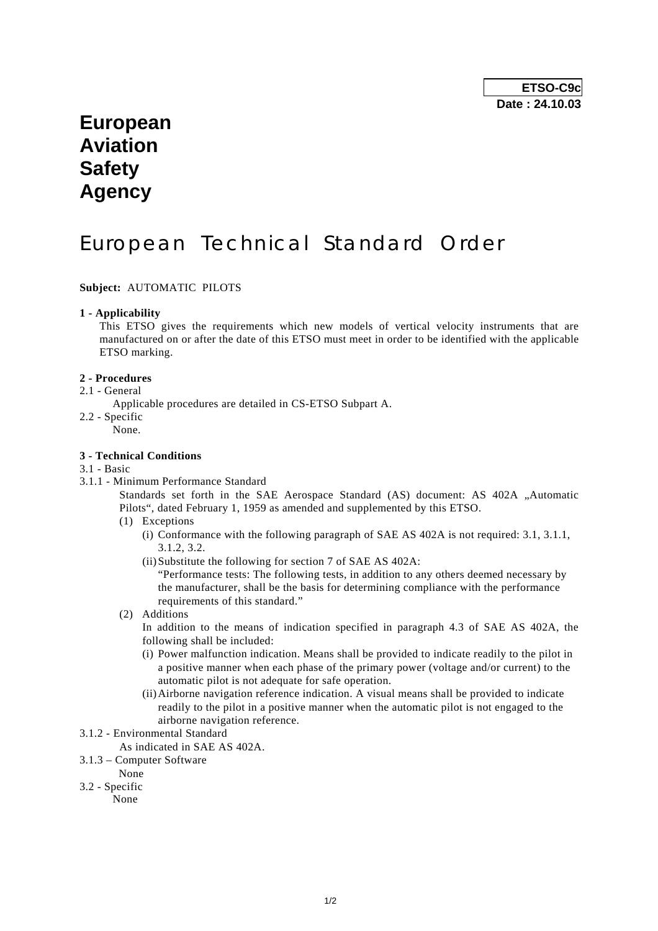# **European Aviation Safety Agency**

# European Technical Standard Order

**Subject:** AUTOMATIC PILOTS

#### **1 - Applicability**

 This ETSO gives the requirements which new models of vertical velocity instruments that are manufactured on or after the date of this ETSO must meet in order to be identified with the applicable ETSO marking.

#### **2 - Procedures**

### 2.1 - General

- Applicable procedures are detailed in CS-ETSO Subpart A.
- 2.2 Specific
	- None.

### **3 - Technical Conditions**

- 3.1 Basic
- 3.1.1 Minimum Performance Standard

Standards set forth in the SAE Aerospace Standard (AS) document: AS 402A "Automatic Pilots", dated February 1, 1959 as amended and supplemented by this ETSO.

- (1) Exceptions
	- (i) Conformance with the following paragraph of SAE AS 402A is not required: 3.1, 3.1.1, 3.1.2, 3.2.
	- (ii) Substitute the following for section 7 of SAE AS 402A:

 "Performance tests: The following tests, in addition to any others deemed necessary by the manufacturer, shall be the basis for determining compliance with the performance requirements of this standard."

(2) Additions

In addition to the means of indication specified in paragraph 4.3 of SAE AS 402A, the following shall be included:

- (i) Power malfunction indication. Means shall be provided to indicate readily to the pilot in a positive manner when each phase of the primary power (voltage and/or current) to the automatic pilot is not adequate for safe operation.
- (ii) Airborne navigation reference indication. A visual means shall be provided to indicate readily to the pilot in a positive manner when the automatic pilot is not engaged to the airborne navigation reference.
- 3.1.2 Environmental Standard
	- As indicated in SAE AS 402A.
- 3.1.3 Computer Software
- None
- 3.2 Specific
	- None